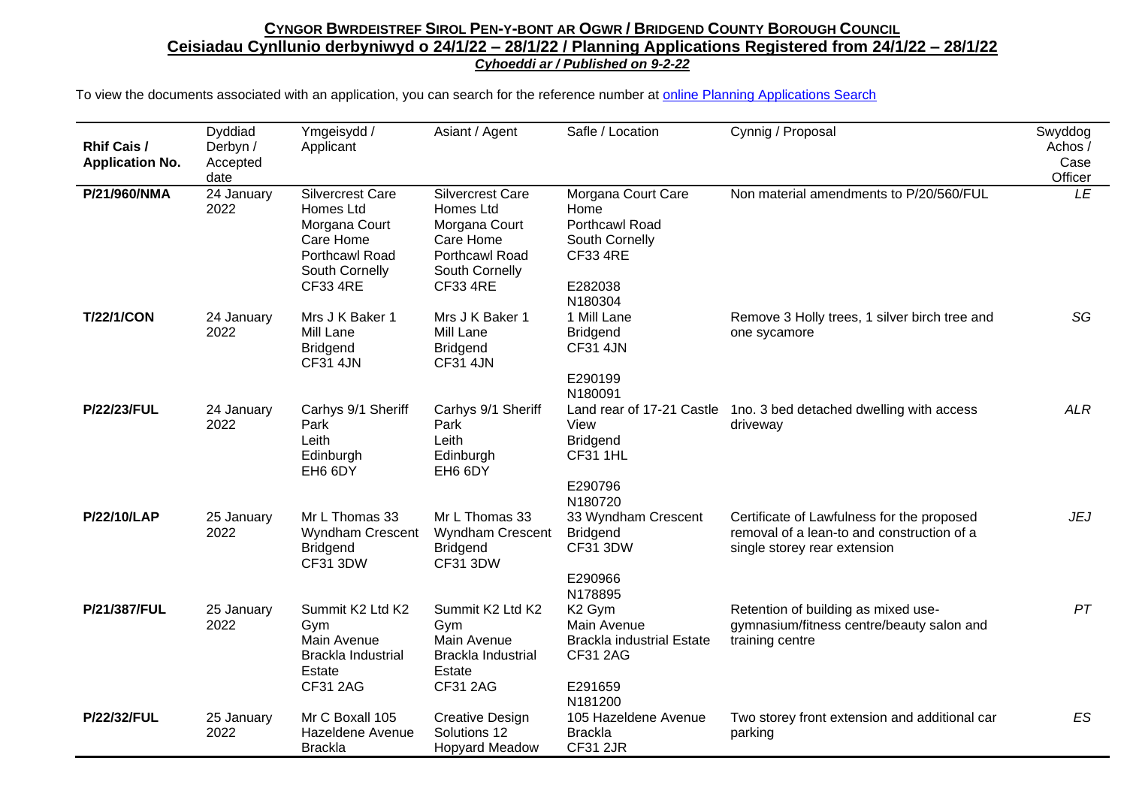| <b>Rhif Cais /</b><br><b>Application No.</b> | Dyddiad<br>Derbyn /<br>Accepted<br>date | Ymgeisydd /<br>Applicant                                                                                           | Asiant / Agent                                                                                                                          | Safle / Location                                                                                               | Cynnig / Proposal                                                                                                        | Swyddog<br>Achos /<br>Case<br>Officer |
|----------------------------------------------|-----------------------------------------|--------------------------------------------------------------------------------------------------------------------|-----------------------------------------------------------------------------------------------------------------------------------------|----------------------------------------------------------------------------------------------------------------|--------------------------------------------------------------------------------------------------------------------------|---------------------------------------|
| P/21/960/NMA                                 | 24 January<br>2022                      | Silvercrest Care<br>Homes Ltd<br>Morgana Court<br>Care Home<br>Porthcawl Road<br>South Cornelly<br><b>CF33 4RE</b> | <b>Silvercrest Care</b><br><b>Homes Ltd</b><br>Morgana Court<br>Care Home<br><b>Porthcawl Road</b><br>South Cornelly<br><b>CF33 4RE</b> | Morgana Court Care<br>Home<br>Porthcawl Road<br>South Cornelly<br><b>CF33 4RE</b><br>E282038<br>N180304        | Non material amendments to P/20/560/FUL                                                                                  | LE                                    |
| <b>T/22/1/CON</b>                            | 24 January<br>2022                      | Mrs J K Baker 1<br>Mill Lane<br><b>Bridgend</b><br><b>CF31 4JN</b>                                                 | Mrs J K Baker 1<br>Mill Lane<br><b>Bridgend</b><br><b>CF31 4JN</b>                                                                      | 1 Mill Lane<br><b>Bridgend</b><br><b>CF31 4JN</b><br>E290199<br>N180091                                        | Remove 3 Holly trees, 1 silver birch tree and<br>one sycamore                                                            | SG                                    |
| <b>P/22/23/FUL</b>                           | 24 January<br>2022                      | Carhys 9/1 Sheriff<br>Park<br>Leith<br>Edinburgh<br>EH6 6DY                                                        | Carhys 9/1 Sheriff<br>Park<br>Leith<br>Edinburgh<br>EH6 6DY                                                                             | View<br><b>Bridgend</b><br><b>CF31 1HL</b><br>E290796<br>N180720                                               | Land rear of 17-21 Castle 1no. 3 bed detached dwelling with access<br>driveway                                           | <b>ALR</b>                            |
| <b>P/22/10/LAP</b>                           | 25 January<br>2022                      | Mr L Thomas 33<br>Wyndham Crescent<br><b>Bridgend</b><br><b>CF31 3DW</b>                                           | Mr L Thomas 33<br>Wyndham Crescent<br><b>Bridgend</b><br><b>CF31 3DW</b>                                                                | 33 Wyndham Crescent<br><b>Bridgend</b><br><b>CF31 3DW</b><br>E290966<br>N178895                                | Certificate of Lawfulness for the proposed<br>removal of a lean-to and construction of a<br>single storey rear extension | <b>JEJ</b>                            |
| P/21/387/FUL                                 | 25 January<br>2022                      | Summit K2 Ltd K2<br>Gym<br>Main Avenue<br>Brackla Industrial<br>Estate<br><b>CF31 2AG</b>                          | Summit K2 Ltd K2<br>Gym<br>Main Avenue<br>Brackla Industrial<br>Estate<br><b>CF31 2AG</b>                                               | K <sub>2</sub> Gym<br>Main Avenue<br><b>Brackla industrial Estate</b><br><b>CF31 2AG</b><br>E291659<br>N181200 | Retention of building as mixed use-<br>gymnasium/fitness centre/beauty salon and<br>training centre                      | PT                                    |
| <b>P/22/32/FUL</b>                           | 25 January<br>2022                      | Mr C Boxall 105<br>Hazeldene Avenue<br><b>Brackla</b>                                                              | <b>Creative Design</b><br>Solutions 12<br><b>Hopyard Meadow</b>                                                                         | 105 Hazeldene Avenue<br><b>Brackla</b><br>CF31 2JR                                                             | Two storey front extension and additional car<br>parking                                                                 | ES                                    |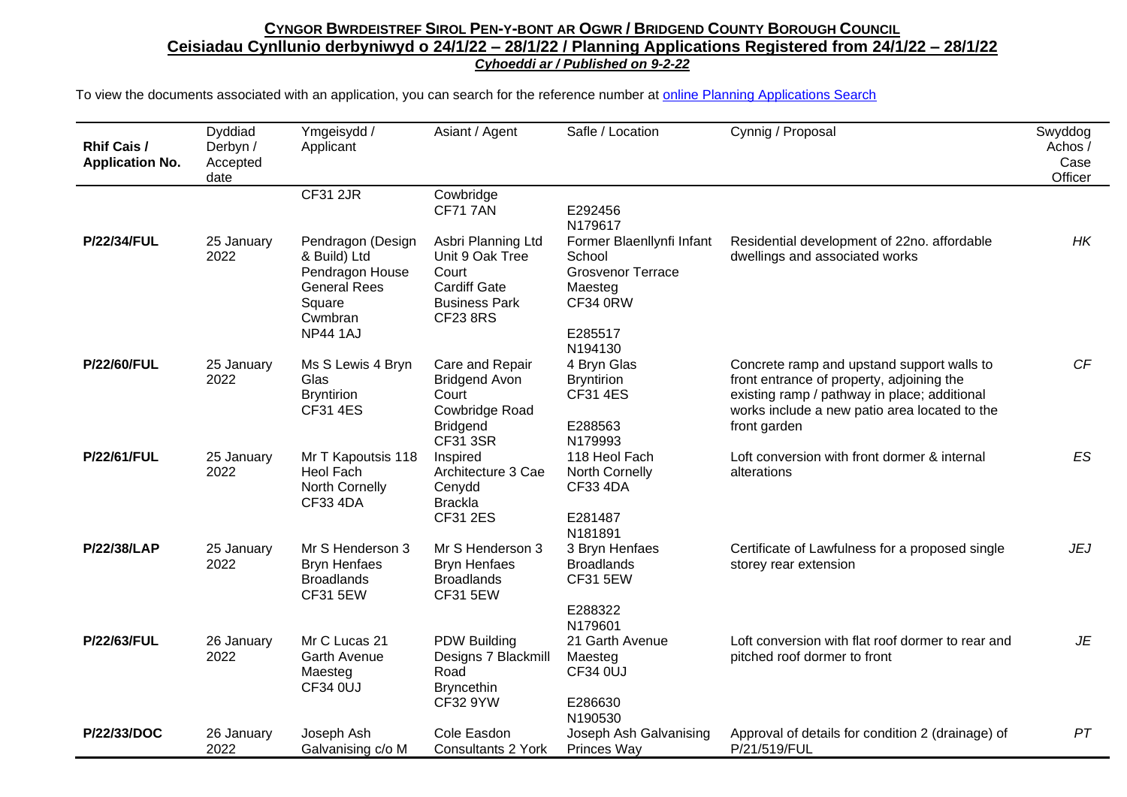| <b>Rhif Cais /</b><br><b>Application No.</b> | Dyddiad<br>Derbyn /<br>Accepted<br>date | Ymgeisydd /<br>Applicant                                                                                            | Asiant / Agent                                                                                                   | Safle / Location                                                                                                    | Cynnig / Proposal                                                                                                                                                                                        | Swyddog<br>Achos/<br>Case<br>Officer |
|----------------------------------------------|-----------------------------------------|---------------------------------------------------------------------------------------------------------------------|------------------------------------------------------------------------------------------------------------------|---------------------------------------------------------------------------------------------------------------------|----------------------------------------------------------------------------------------------------------------------------------------------------------------------------------------------------------|--------------------------------------|
|                                              |                                         | <b>CF31 2JR</b>                                                                                                     | Cowbridge<br><b>CF717AN</b>                                                                                      | E292456<br>N179617                                                                                                  |                                                                                                                                                                                                          |                                      |
| <b>P/22/34/FUL</b>                           | 25 January<br>2022                      | Pendragon (Design<br>& Build) Ltd<br>Pendragon House<br><b>General Rees</b><br>Square<br>Cwmbran<br><b>NP44 1AJ</b> | Asbri Planning Ltd<br>Unit 9 Oak Tree<br>Court<br><b>Cardiff Gate</b><br><b>Business Park</b><br><b>CF23 8RS</b> | Former Blaenllynfi Infant<br>School<br><b>Grosvenor Terrace</b><br>Maesteg<br><b>CF34 0RW</b><br>E285517<br>N194130 | Residential development of 22no. affordable<br>dwellings and associated works                                                                                                                            | HK                                   |
| <b>P/22/60/FUL</b>                           | 25 January<br>2022                      | Ms S Lewis 4 Bryn<br>Glas<br><b>Bryntirion</b><br><b>CF31 4ES</b>                                                   | Care and Repair<br><b>Bridgend Avon</b><br>Court<br>Cowbridge Road<br><b>Bridgend</b><br><b>CF31 3SR</b>         | 4 Bryn Glas<br><b>Bryntirion</b><br><b>CF31 4ES</b><br>E288563<br>N179993                                           | Concrete ramp and upstand support walls to<br>front entrance of property, adjoining the<br>existing ramp / pathway in place; additional<br>works include a new patio area located to the<br>front garden | CF                                   |
| <b>P/22/61/FUL</b>                           | 25 January<br>2022                      | Mr T Kapoutsis 118<br>Heol Fach<br>North Cornelly<br><b>CF33 4DA</b>                                                | Inspired<br>Architecture 3 Cae<br>Cenydd<br><b>Brackla</b><br><b>CF31 2ES</b>                                    | 118 Heol Fach<br>North Cornelly<br><b>CF33 4DA</b><br>E281487<br>N181891                                            | Loft conversion with front dormer & internal<br>alterations                                                                                                                                              | ES                                   |
| <b>P/22/38/LAP</b>                           | 25 January<br>2022                      | Mr S Henderson 3<br><b>Bryn Henfaes</b><br><b>Broadlands</b><br><b>CF31 5EW</b>                                     | Mr S Henderson 3<br><b>Bryn Henfaes</b><br><b>Broadlands</b><br><b>CF31 5EW</b>                                  | 3 Bryn Henfaes<br><b>Broadlands</b><br><b>CF31 5EW</b><br>E288322<br>N179601                                        | Certificate of Lawfulness for a proposed single<br>storey rear extension                                                                                                                                 | <b>JEJ</b>                           |
| P/22/63/FUL                                  | 26 January<br>2022                      | Mr C Lucas 21<br><b>Garth Avenue</b><br>Maesteg<br><b>CF34 0UJ</b>                                                  | <b>PDW Building</b><br>Designs 7 Blackmill<br>Road<br><b>Bryncethin</b><br>CF32 9YW                              | 21 Garth Avenue<br>Maesteg<br>CF34 0UJ<br>E286630<br>N190530                                                        | Loft conversion with flat roof dormer to rear and<br>pitched roof dormer to front                                                                                                                        | JE                                   |
| P/22/33/DOC                                  | 26 January<br>2022                      | Joseph Ash<br>Galvanising c/o M                                                                                     | Cole Easdon<br><b>Consultants 2 York</b>                                                                         | Joseph Ash Galvanising<br>Princes Way                                                                               | Approval of details for condition 2 (drainage) of<br>P/21/519/FUL                                                                                                                                        | PT                                   |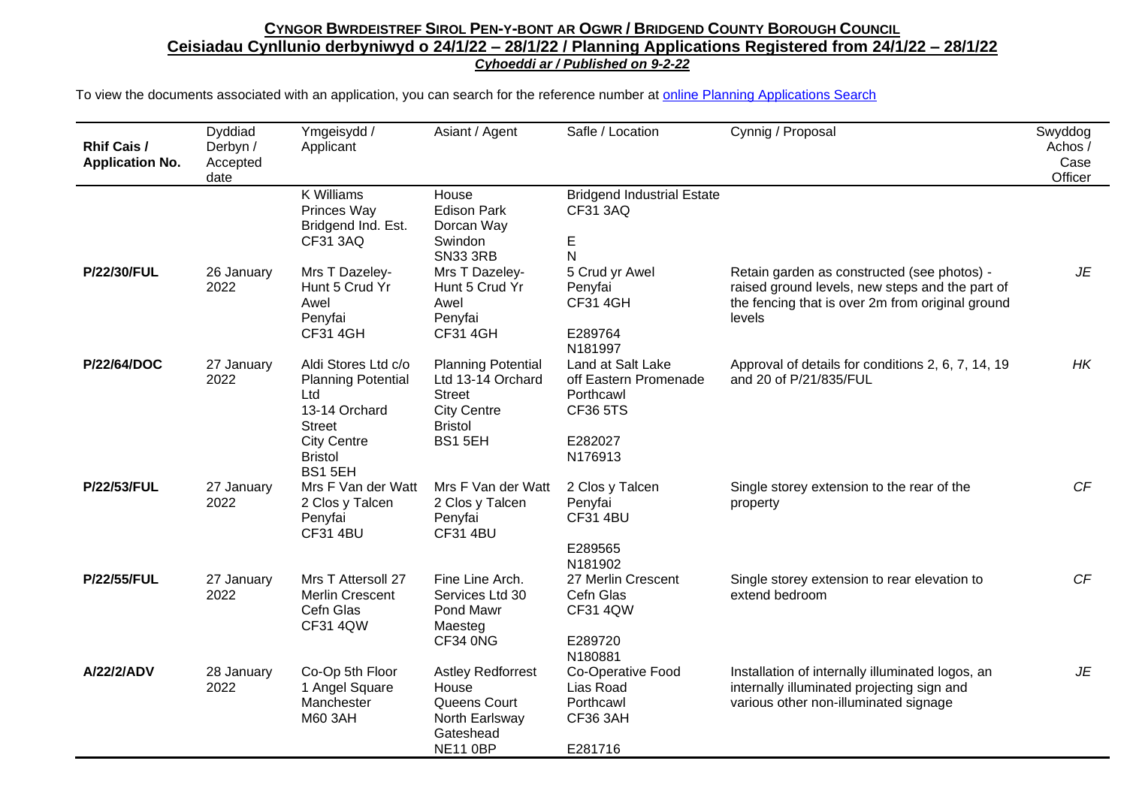| <b>Rhif Cais /</b><br><b>Application No.</b> | Dyddiad<br>Derbyn /<br>Accepted<br>date | Ymgeisydd /<br>Applicant                                                                                                                           | Asiant / Agent                                                                                                    | Safle / Location                                                                                 | Cynnig / Proposal                                                                                                                                            | Swyddog<br>Achos /<br>Case<br>Officer |
|----------------------------------------------|-----------------------------------------|----------------------------------------------------------------------------------------------------------------------------------------------------|-------------------------------------------------------------------------------------------------------------------|--------------------------------------------------------------------------------------------------|--------------------------------------------------------------------------------------------------------------------------------------------------------------|---------------------------------------|
|                                              |                                         | <b>K Williams</b><br>Princes Way<br>Bridgend Ind. Est.<br>CF31 3AQ                                                                                 | House<br><b>Edison Park</b><br>Dorcan Way<br>Swindon<br><b>SN33 3RB</b>                                           | <b>Bridgend Industrial Estate</b><br>CF31 3AQ<br>$\mathsf E$<br>${\sf N}$                        |                                                                                                                                                              |                                       |
| <b>P/22/30/FUL</b>                           | 26 January<br>2022                      | Mrs T Dazeley-<br>Hunt 5 Crud Yr<br>Awel<br>Penyfai<br><b>CF31 4GH</b>                                                                             | Mrs T Dazeley-<br>Hunt 5 Crud Yr<br>Awel<br>Penyfai<br><b>CF31 4GH</b>                                            | 5 Crud yr Awel<br>Penyfai<br><b>CF31 4GH</b><br>E289764<br>N181997                               | Retain garden as constructed (see photos) -<br>raised ground levels, new steps and the part of<br>the fencing that is over 2m from original ground<br>levels | JE                                    |
| P/22/64/DOC                                  | 27 January<br>2022                      | Aldi Stores Ltd c/o<br><b>Planning Potential</b><br>Ltd<br>13-14 Orchard<br><b>Street</b><br><b>City Centre</b><br><b>Bristol</b><br><b>BS15EH</b> | <b>Planning Potential</b><br>Ltd 13-14 Orchard<br><b>Street</b><br><b>City Centre</b><br><b>Bristol</b><br>BS15EH | Land at Salt Lake<br>off Eastern Promenade<br>Porthcawl<br><b>CF36 5TS</b><br>E282027<br>N176913 | Approval of details for conditions 2, 6, 7, 14, 19<br>and 20 of P/21/835/FUL                                                                                 | HK                                    |
| <b>P/22/53/FUL</b>                           | 27 January<br>2022                      | Mrs F Van der Watt<br>2 Clos y Talcen<br>Penyfai<br><b>CF31 4BU</b>                                                                                | Mrs F Van der Watt<br>2 Clos y Talcen<br>Penyfai<br><b>CF31 4BU</b>                                               | 2 Clos y Talcen<br>Penyfai<br><b>CF31 4BU</b><br>E289565<br>N181902                              | Single storey extension to the rear of the<br>property                                                                                                       | CF                                    |
| <b>P/22/55/FUL</b>                           | 27 January<br>2022                      | Mrs T Attersoll 27<br><b>Merlin Crescent</b><br>Cefn Glas<br><b>CF31 4QW</b>                                                                       | Fine Line Arch.<br>Services Ltd 30<br>Pond Mawr<br>Maesteg<br><b>CF34 0NG</b>                                     | 27 Merlin Crescent<br>Cefn Glas<br><b>CF31 4QW</b><br>E289720<br>N180881                         | Single storey extension to rear elevation to<br>extend bedroom                                                                                               | CF                                    |
| A/22/2/ADV                                   | 28 January<br>2022                      | Co-Op 5th Floor<br>1 Angel Square<br>Manchester<br><b>M60 3AH</b>                                                                                  | <b>Astley Redforrest</b><br>House<br>Queens Court<br>North Earlsway<br>Gateshead<br><b>NE11 0BP</b>               | Co-Operative Food<br>Lias Road<br>Porthcawl<br>CF36 3AH<br>E281716                               | Installation of internally illuminated logos, an<br>internally illuminated projecting sign and<br>various other non-illuminated signage                      | JE                                    |